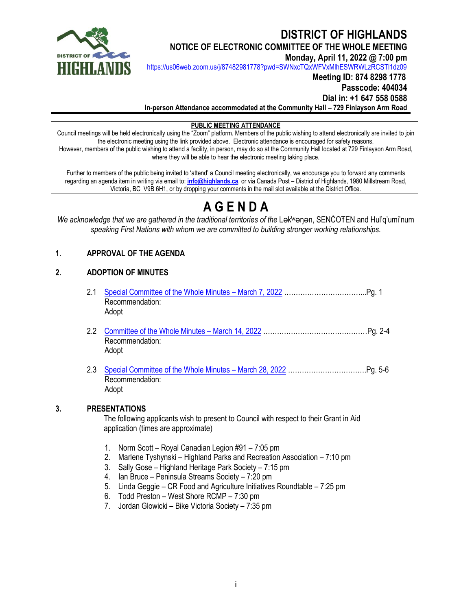

# **DISTRICT OF HIGHLANDS**

**NOTICE OF ELECTRONIC COMMITTEE OF THE WHOLE MEETING**

**Monday, April 11, 2022 @ 7:00 pm**

<https://us06web.zoom.us/j/87482981778?pwd=SWNxcTQxWFVxMlhESWRWLzRCSTl1dz09>

# **Meeting ID: 874 8298 1778 Passcode: 404034 Dial in: +1 647 558 0588**

**In-person Attendance accommodated at the Community Hall – 729 Finlayson Arm Road**

#### **PUBLIC MEETING ATTENDANCE**

Council meetings will be held electronically using the "Zoom" platform. Members of the public wishing to attend electronically are invited to join the electronic meeting using the link provided above. Electronic attendance is encouraged for safety reasons. However, members of the public wishing to attend a facility, in person, may do so at the Community Hall located at 729 Finlayson Arm Road, where they will be able to hear the electronic meeting taking place.

Further to members of the public being invited to 'attend' a Council meeting electronically, we encourage you to forward any comments regarding an agenda item in writing via email to: **[info@highlands.ca](mailto:info@highlands.ca)**, or via Canada Post – District of Highlands, 1980 Millstream Road, Victoria, BC V9B 6H1, or by dropping your comments in the mail slot available at the District Office.

# **A G E N D A**

*We acknowledge that we are gathered in the traditional territories of the Lak*<sup>w</sup>anan, SENĆOTEN and Hul'q'umi'num *speaking First Nations with whom we are committed to building stronger working relationships.*

# **1. APPROVAL OF THE AGENDA**

### **2. ADOPTION OF MINUTES**

- 2.1 [Special Committee of the Whole Minutes](https://www.highlands.ca/DocumentCenter/View/8033/21-March-7-COTW-Special-Minutes)  March 7, 2022 ……………………………...Pg. 1 Recommendation: Adopt
- 2.2 [Committee of the Whole Minutes](https://www.highlands.ca/DocumentCenter/View/8034/22-March-14-COTW-Minutes)  March 14, 2022 ………………………………………Pg. 2-4 Recommendation: Adopt
- 2.3 [Special Committee of the Whole Minutes](https://www.highlands.ca/DocumentCenter/View/8035/23-March-28-COTW-Special-Minutes)  March 28, 2022 …………………………….Pg. 5-6 Recommendation: Adopt

#### **3. PRESENTATIONS**

The following applicants wish to present to Council with respect to their Grant in Aid application (times are approximate)

- 1. Norm Scott Royal Canadian Legion #91 7:05 pm
- 2. Marlene Tyshynski Highland Parks and Recreation Association 7:10 pm
- 3. Sally Gose Highland Heritage Park Society 7:15 pm
- 4. Ian Bruce Peninsula Streams Society 7:20 pm
- 5. Linda Geggie CR Food and Agriculture Initiatives Roundtable 7:25 pm
- 6. Todd Preston West Shore RCMP 7:30 pm
- 7. Jordan Glowicki Bike Victoria Society 7:35 pm